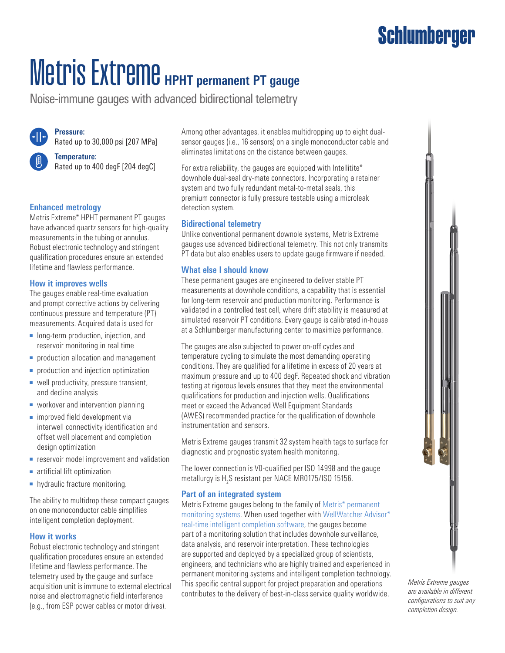### **Schlumberger**

# **Metris Extreme** HPHT permanent PT gauge

Noise-immune gauges with advanced bidirectional telemetry



**Pressure:** Rated up to 30,000 psi [207 MPa]

**Temperature:** Rated up to 400 degF [204 degC]

#### **Enhanced metrology**

Metris Extreme\* HPHT permanent PT gauges have advanced quartz sensors for high-quality measurements in the tubing or annulus. Robust electronic technology and stringent qualification procedures ensure an extended lifetime and flawless performance.

#### **How it improves wells**

The gauges enable real-time evaluation and prompt corrective actions by delivering continuous pressure and temperature (PT) measurements. Acquired data is used for

- long-term production, injection, and reservoir monitoring in real time
- production allocation and management
- production and injection optimization
- well productivity, pressure transient, and decline analysis
- workover and intervention planning
- improved field development via interwell connectivity identification and offset well placement and completion design optimization
- reservoir model improvement and validation
- artificial lift optimization
- hydraulic fracture monitoring.

The ability to multidrop these compact gauges on one monoconductor cable simplifies intelligent completion deployment.

#### **How it works**

Robust electronic technology and stringent qualification procedures ensure an extended lifetime and flawless performance. The telemetry used by the gauge and surface acquisition unit is immune to external electrical noise and electromagnetic field interference (e.g., from ESP power cables or motor drives).

Among other advantages, it enables multidropping up to eight dualsensor gauges (i.e., 16 sensors) on a single monoconductor cable and eliminates limitations on the distance between gauges.

For extra reliability, the gauges are equipped with Intellitite\* downhole dual-seal dry-mate connectors. Incorporating a retainer system and two fully redundant metal-to-metal seals, this premium connector is fully pressure testable using a microleak detection system.

#### **Bidirectional telemetry**

Unlike conventional permanent downole systems, Metris Extreme gauges use advanced bidirectional telemetry. This not only transmits PT data but also enables users to update gauge firmware if needed.

#### **What else I should know**

These permanent gauges are engineered to deliver stable PT measurements at downhole conditions, a capability that is essential for long-term reservoir and production monitoring. Performance is validated in a controlled test cell, where drift stability is measured at simulated reservoir PT conditions. Every gauge is calibrated in-house at a Schlumberger manufacturing center to maximize performance.

The gauges are also subjected to power on-off cycles and temperature cycling to simulate the most demanding operating conditions. They are qualified for a lifetime in excess of 20 years at maximum pressure and up to 400 degF. Repeated shock and vibration testing at rigorous levels ensures that they meet the environmental qualifications for production and injection wells. Qualifications meet or exceed the Advanced Well Equipment Standards (AWES) recommended practice for the qualification of downhole instrumentation and sensors.

Metris Extreme gauges transmit 32 system health tags to surface for diagnostic and prognostic system health monitoring.

The lower connection is V0-qualified per ISO 14998 and the gauge metallurgy is  $H_2S$  resistant per NACE MR0175/ISO 15156.

#### **Part of an integrated system**

Metris Extreme gauges belong to the family of [Metris\\* permanent](http://www.slb.com/metris)  [monitoring systems](http://www.slb.com/metris). When used together with [WellWatcher Advisor\\*](https://www.slb.com/completions/well-completions/permanent-monitoring/permanent-downhole-gauges/intelligent-completion-accessories/wellwatcher-advisor)  [real-time intelligent completion software,](https://www.slb.com/completions/well-completions/permanent-monitoring/permanent-downhole-gauges/intelligent-completion-accessories/wellwatcher-advisor) the gauges become part of a monitoring solution that includes downhole surveillance, data analysis, and reservoir interpretation. These technologies are supported and deployed by a specialized group of scientists, engineers, and technicians who are highly trained and experienced in permanent monitoring systems and intelligent completion technology. This specific central support for project preparation and operations contributes to the delivery of best-in-class service quality worldwide.



*Metris Extreme gauges are available in different configurations to suit any completion design.*